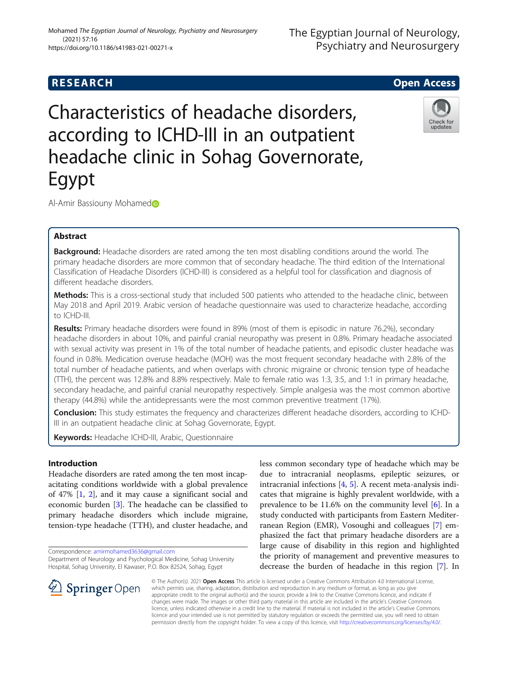(2021) 57:16

https://doi.org/10.1186/s41983-021-00271-x

# Characteristics of headache disorders, according to ICHD-III in an outpatient headache clinic in Sohag Governorate, Egypt



Al-Amir Bassiouny Mohamed

# Abstract

Background: Headache disorders are rated among the ten most disabling conditions around the world. The primary headache disorders are more common that of secondary headache. The third edition of the International Classification of Headache Disorders (ICHD-III) is considered as a helpful tool for classification and diagnosis of different headache disorders.

Methods: This is a cross-sectional study that included 500 patients who attended to the headache clinic, between May 2018 and April 2019. Arabic version of headache questionnaire was used to characterize headache, according to ICHD-III.

Results: Primary headache disorders were found in 89% (most of them is episodic in nature 76.2%), secondary headache disorders in about 10%, and painful cranial neuropathy was present in 0.8%. Primary headache associated with sexual activity was present in 1% of the total number of headache patients, and episodic cluster headache was found in 0.8%. Medication overuse headache (MOH) was the most frequent secondary headache with 2.8% of the total number of headache patients, and when overlaps with chronic migraine or chronic tension type of headache (TTH), the percent was 12.8% and 8.8% respectively. Male to female ratio was 1:3, 3:5, and 1:1 in primary headache, secondary headache, and painful cranial neuropathy respectively. Simple analgesia was the most common abortive therapy (44.8%) while the antidepressants were the most common preventive treatment (17%).

Conclusion: This study estimates the frequency and characterizes different headache disorders, according to ICHD-III in an outpatient headache clinic at Sohag Governorate, Egypt.

Keywords: Headache ICHD-III, Arabic, Questionnaire

# Introduction

Headache disorders are rated among the ten most incapacitating conditions worldwide with a global prevalence of 47% [[1,](#page-7-0) [2\]](#page-7-0), and it may cause a significant social and economic burden [[3\]](#page-7-0). The headache can be classified to primary headache disorders which include migraine, tension-type headache (TTH), and cluster headache, and

Correspondence: [amirmohamed3636@gmail.com](mailto:amirmohamed3636@gmail.com)

Department of Neurology and Psychological Medicine, Sohag University Hospital, Sohag University, El Kawaser, P.O. Box 82524, Sohag, Egypt

less common secondary type of headache which may be due to intracranial neoplasms, epileptic seizures, or intracranial infections [\[4,](#page-7-0) [5\]](#page-7-0). A recent meta-analysis indicates that migraine is highly prevalent worldwide, with a prevalence to be 11.6% on the community level [\[6](#page-7-0)]. In a study conducted with participants from Eastern Mediterranean Region (EMR), Vosoughi and colleagues [[7\]](#page-7-0) emphasized the fact that primary headache disorders are a large cause of disability in this region and highlighted the priority of management and preventive measures to decrease the burden of headache in this region [\[7](#page-7-0)]. In



© The Author(s). 2021 Open Access This article is licensed under a Creative Commons Attribution 4.0 International License, which permits use, sharing, adaptation, distribution and reproduction in any medium or format, as long as you give appropriate credit to the original author(s) and the source, provide a link to the Creative Commons licence, and indicate if changes were made. The images or other third party material in this article are included in the article's Creative Commons licence, unless indicated otherwise in a credit line to the material. If material is not included in the article's Creative Commons licence and your intended use is not permitted by statutory regulation or exceeds the permitted use, you will need to obtain permission directly from the copyright holder. To view a copy of this licence, visit <http://creativecommons.org/licenses/by/4.0/>.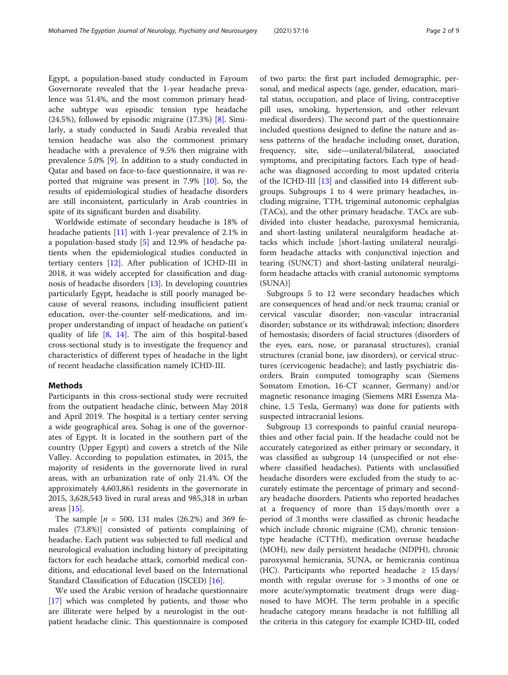Egypt, a population-based study conducted in Fayoum Governorate revealed that the 1-year headache prevalence was 51.4%, and the most common primary headache subtype was episodic tension type headache (24.5%), followed by episodic migraine (17.3%) [\[8](#page-7-0)]. Similarly, a study conducted in Saudi Arabia revealed that tension headache was also the commonest primary headache with a prevalence of 9.5% then migraine with prevalence 5.0% [[9\]](#page-7-0). In addition to a study conducted in Qatar and based on face-to-face questionnaire, it was reported that migraine was present in 7.9% [\[10](#page-7-0)]. So, the results of epidemiological studies of headache disorders are still inconsistent, particularly in Arab countries in spite of its significant burden and disability.

Worldwide estimate of secondary headache is 18% of headache patients [\[11](#page-7-0)] with 1-year prevalence of 2.1% in a population-based study [\[5](#page-7-0)] and 12.9% of headache patients when the epidemiological studies conducted in tertiary centers [[12\]](#page-7-0). After publication of ICHD-III in 2018, it was widely accepted for classification and diagnosis of headache disorders [[13\]](#page-7-0). In developing countries particularly Egypt, headache is still poorly managed because of several reasons, including insufficient patient education, over-the-counter self-medications, and improper understanding of impact of headache on patient's quality of life [[8,](#page-7-0) [14\]](#page-7-0). The aim of this hospital-based cross-sectional study is to investigate the frequency and characteristics of different types of headache in the light of recent headache classification namely ICHD-III.

# **Methods**

Participants in this cross-sectional study were recruited from the outpatient headache clinic, between May 2018 and April 2019. The hospital is a tertiary center serving a wide geographical area. Sohag is one of the governorates of Egypt. It is located in the southern part of the country (Upper Egypt) and covers a stretch of the Nile Valley. According to population estimates, in 2015, the majority of residents in the governorate lived in rural areas, with an urbanization rate of only 21.4%. Of the approximately 4,603,861 residents in the governorate in 2015, 3,628,543 lived in rural areas and 985,318 in urban areas [\[15](#page-7-0)].

The sample  $[n = 500, 131 \text{ males} (26.2\%)$  and 369 females (73.8%)] consisted of patients complaining of headache. Each patient was subjected to full medical and neurological evaluation including history of precipitating factors for each headache attack, comorbid medical conditions, and educational level based on the International Standard Classification of Education (ISCED) [\[16](#page-7-0)].

We used the Arabic version of headache questionnaire [[17\]](#page-7-0) which was completed by patients, and those who are illiterate were helped by a neurologist in the outpatient headache clinic. This questionnaire is composed of two parts: the first part included demographic, personal, and medical aspects (age, gender, education, marital status, occupation, and place of living, contraceptive pill uses, smoking, hypertension, and other relevant medical disorders). The second part of the questionnaire included questions designed to define the nature and assess patterns of the headache including onset, duration, frequency, site, side—unilateral/bilateral, associated symptoms, and precipitating factors. Each type of headache was diagnosed according to most updated criteria of the ICHD-III [\[13](#page-7-0)] and classified into 14 different subgroups. Subgroups 1 to 4 were primary headaches, including migraine, TTH, trigeminal autonomic cephalgias (TACs), and the other primary headache. TACs are subdivided into cluster headache, paroxysmal hemicrania, and short-lasting unilateral neuralgiform headache attacks which include [short-lasting unilateral neuralgiform headache attacks with conjunctival injection and tearing (SUNCT) and short-lasting unilateral neuralgiform headache attacks with cranial autonomic symptoms (SUNA)]

Subgroups 5 to 12 were secondary headaches which are consequences of head and/or neck trauma; cranial or cervical vascular disorder; non-vascular intracranial disorder; substance or its withdrawal; infection; disorders of hemostasis; disorders of facial structures (disorders of the eyes, ears, nose, or paranasal structures), cranial structures (cranial bone, jaw disorders), or cervical structures (cervicogenic headache); and lastly psychiatric disorders. Brain computed tomography scan (Siemens Somatom Emotion, 16-CT scanner, Germany) and/or magnetic resonance imaging (Siemens MRI Essenza Machine, 1.5 Tesla, Germany) was done for patients with suspected intracranial lesions.

Subgroup 13 corresponds to painful cranial neuropathies and other facial pain. If the headache could not be accurately categorized as either primary or secondary, it was classified as subgroup 14 (unspecified or not elsewhere classified headaches). Patients with unclassified headache disorders were excluded from the study to accurately estimate the percentage of primary and secondary headache disorders. Patients who reported headaches at a frequency of more than 15 days/month over a period of 3 months were classified as chronic headache which include chronic migraine (CM), chronic tensiontype headache (CTTH), medication overuse headache (MOH), new daily persistent headache (NDPH), chronic paroxysmal hemicrania, SUNA, or hemicrania continua (HC). Participants who reported headache  $\geq 15 \text{ days/}$ month with regular overuse for > 3 months of one or more acute/symptomatic treatment drugs were diagnosed to have MOH. The term probable in a specific headache category means headache is not fulfilling all the criteria in this category for example ICHD-III, coded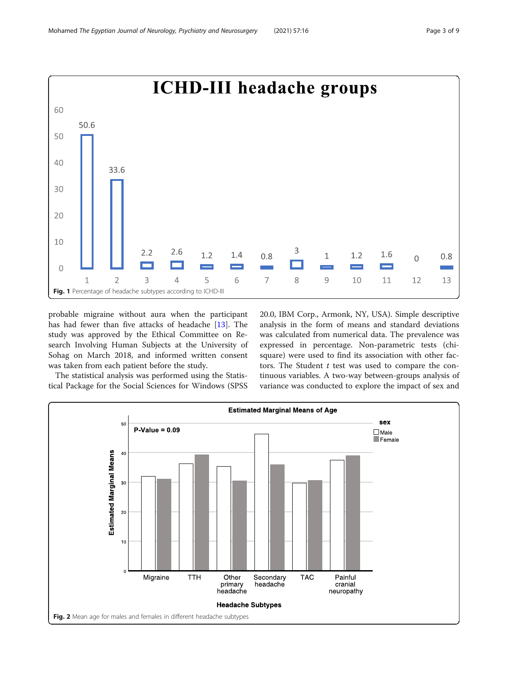<span id="page-2-0"></span>

probable migraine without aura when the participant has had fewer than five attacks of headache [\[13](#page-7-0)]. The study was approved by the Ethical Committee on Research Involving Human Subjects at the University of Sohag on March 2018, and informed written consent was taken from each patient before the study.

The statistical analysis was performed using the Statistical Package for the Social Sciences for Windows (SPSS 20.0, IBM Corp., Armonk, NY, USA). Simple descriptive analysis in the form of means and standard deviations was calculated from numerical data. The prevalence was expressed in percentage. Non-parametric tests (chisquare) were used to find its association with other factors. The Student  $t$  test was used to compare the continuous variables. A two-way between-groups analysis of variance was conducted to explore the impact of sex and

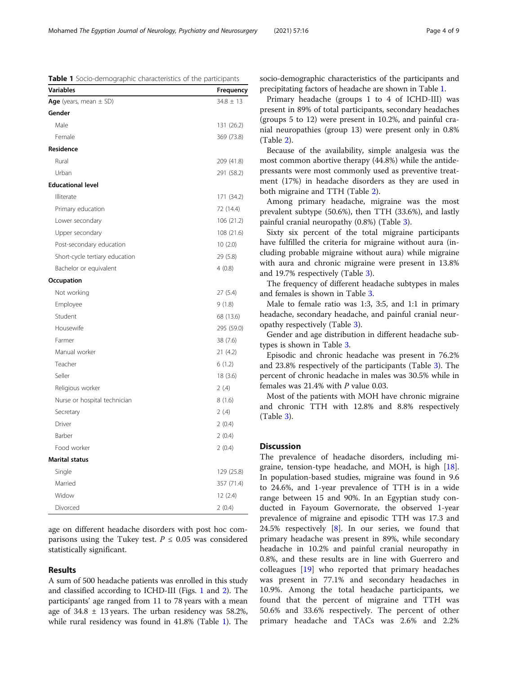age on different headache disorders with post hoc comparisons using the Tukey test.  $P \leq 0.05$  was considered statistically significant.

# Results

A sum of 500 headache patients was enrolled in this study and classified according to ICHD-III (Figs. [1](#page-2-0) and [2\)](#page-2-0). The participants' age ranged from 11 to 78 years with a mean age of  $34.8 \pm 13$  years. The urban residency was 58.2%, while rural residency was found in 41.8% (Table 1). The socio-demographic characteristics of the participants and precipitating factors of headache are shown in Table 1.

Primary headache (groups 1 to 4 of ICHD-III) was present in 89% of total participants, secondary headaches (groups 5 to 12) were present in 10.2%, and painful cranial neuropathies (group 13) were present only in 0.8% (Table [2\)](#page-4-0).

Because of the availability, simple analgesia was the most common abortive therapy (44.8%) while the antidepressants were most commonly used as preventive treatment (17%) in headache disorders as they are used in both migraine and TTH (Table [2\)](#page-4-0).

Among primary headache, migraine was the most prevalent subtype (50.6%), then TTH (33.6%), and lastly painful cranial neuropathy (0.8%) (Table [3\)](#page-5-0).

Sixty six percent of the total migraine participants have fulfilled the criteria for migraine without aura (including probable migraine without aura) while migraine with aura and chronic migraine were present in 13.8% and 19.7% respectively (Table [3\)](#page-5-0).

The frequency of different headache subtypes in males and females is shown in Table [3.](#page-5-0)

Male to female ratio was 1:3, 3:5, and 1:1 in primary headache, secondary headache, and painful cranial neuropathy respectively (Table [3\)](#page-5-0).

Gender and age distribution in different headache subtypes is shown in Table [3](#page-5-0).

Episodic and chronic headache was present in 76.2% and 23.8% respectively of the participants (Table [3\)](#page-5-0). The percent of chronic headache in males was 30.5% while in females was 21.4% with P value 0.03.

Most of the patients with MOH have chronic migraine and chronic TTH with 12.8% and 8.8% respectively (Table [3\)](#page-5-0).

### **Discussion**

The prevalence of headache disorders, including migraine, tension-type headache, and MOH, is high [\[18](#page-7-0)]. In population-based studies, migraine was found in 9.6 to 24.6%, and 1-year prevalence of TTH is in a wide range between 15 and 90%. In an Egyptian study conducted in Fayoum Governorate, the observed 1-year prevalence of migraine and episodic TTH was 17.3 and 24.5% respectively  $[8]$  $[8]$ . In our series, we found that primary headache was present in 89%, while secondary headache in 10.2% and painful cranial neuropathy in 0.8%, and these results are in line with Guerrero and colleagues [[19\]](#page-8-0) who reported that primary headaches was present in 77.1% and secondary headaches in 10.9%. Among the total headache participants, we found that the percent of migraine and TTH was 50.6% and 33.6% respectively. The percent of other primary headache and TACs was 2.6% and 2.2%

Table 1 Socio-demographic characteristics of the participants **Variables Variables Variables Variables Frequency** 

Age (years, mean  $\pm$  SD) 34.8  $\pm$  13

Gender

| Mohamed The Egyptian Journal of Neurology, Psychiatry and Neurosurgery | (2021) 57:16 | Page 4 of 9 |
|------------------------------------------------------------------------|--------------|-------------|
|                                                                        |              |             |

| Male                           | 131 (26.2) |
|--------------------------------|------------|
| Female                         | 369 (73.8) |
| Residence                      |            |
| Rural                          | 209 (41.8) |
| Urban                          | 291 (58.2) |
| <b>Educational level</b>       |            |
| Illiterate                     | 171 (34.2) |
| Primary education              | 72 (14.4)  |
| Lower secondary                | 106 (21.2) |
| Upper secondary                | 108 (21.6) |
| Post-secondary education       | 10(2.0)    |
| Short-cycle tertiary education | 29 (5.8)   |
| Bachelor or equivalent         | 4(0.8)     |
| Occupation                     |            |
| Not working                    | 27 (5.4)   |
| Employee                       | 9(1.8)     |
| Student                        | 68 (13.6)  |
| Housewife                      | 295 (59.0) |
| Farmer                         | 38 (7.6)   |
| Manual worker                  | 21(4.2)    |
| Teacher                        | 6(1.2)     |
| Seller                         | 18(3.6)    |
| Religious worker               | 2(4)       |
| Nurse or hospital technician   | 8(1.6)     |
| Secretary                      | 2(4)       |
| Driver                         | 2(0.4)     |
| Barber                         | 2(0.4)     |
| Food worker                    | 2(0.4)     |
| <b>Marital status</b>          |            |
| Single                         | 129 (25.8) |
| Married                        | 357 (71.4) |
| Widow                          | 12(2.4)    |
| Divorced                       | 2(0.4)     |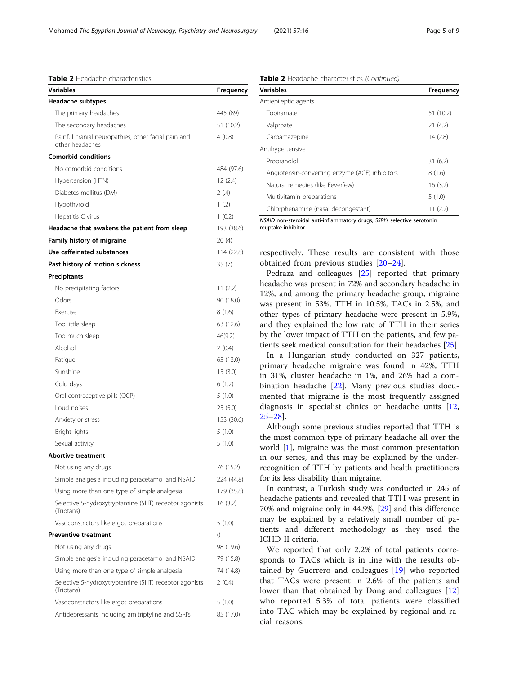<span id="page-4-0"></span>Table 2 Headache characteristics

| Variables                                                              | Frequency        |
|------------------------------------------------------------------------|------------------|
| Headache subtypes                                                      |                  |
| The primary headaches                                                  | 445 (89)         |
| The secondary headaches                                                | 51 (10.2)        |
| Painful cranial neuropathies, other facial pain and<br>other headaches | 4(0.8)           |
| <b>Comorbid conditions</b>                                             |                  |
| No comorbid conditions                                                 | 484 (97.6)       |
| Hypertension (HTN)                                                     | 12(2.4)          |
| Diabetes mellitus (DM)                                                 | 2(4)             |
| Hypothyroid                                                            | 1(2)             |
| Hepatitis C virus                                                      | 1(0.2)           |
| Headache that awakens the patient from sleep                           | 193 (38.6)       |
| Family history of migraine                                             | 20(4)            |
| Use caffeinated substances                                             | 114 (22.8)       |
| Past history of motion sickness                                        | 35(7)            |
| Precipitants                                                           |                  |
| No precipitating factors                                               | 11(2.2)          |
| Odors                                                                  | 90 (18.0)        |
| Exercise                                                               | 8(1.6)           |
| Too little sleep                                                       | 63 (12.6)        |
| Too much sleep                                                         | 46(9.2)          |
| Alcohol                                                                | 2(0.4)           |
| Fatigue                                                                | 65 (13.0)        |
| Sunshine                                                               | 15(3.0)          |
| Cold days                                                              | 6(1.2)           |
| Oral contraceptive pills (OCP)                                         | 5(1.0)           |
| Loud noises                                                            | 25(5.0)          |
| Anxiety or stress                                                      | 153 (30.6)       |
| Bright lights                                                          | 5(1.0)           |
| Sexual activity                                                        | 5(1.0)           |
| <b>Abortive treatment</b>                                              |                  |
| Not using any drugs                                                    | 76 (15.2)        |
| Simple analgesia including paracetamol and NSAID                       | 224 (44.8)       |
| Using more than one type of simple analgesia                           | 179 (35.8)       |
| Selective 5-hydroxytryptamine (5HT) receptor agonists<br>(Triptans)    | 16 (3.2)         |
| Vasoconstrictors like ergot preparations                               | 5(1.0)           |
| <b>Preventive treatment</b>                                            | $\left( \right)$ |
| Not using any drugs                                                    | 98 (19.6)        |
| Simple analgesia including paracetamol and NSAID                       | 79 (15.8)        |
| Using more than one type of simple analgesia                           | 74 (14.8)        |
| Selective 5-hydroxytryptamine (5HT) receptor agonists<br>(Triptans)    | 2(0.4)           |
| Vasoconstrictors like ergot preparations                               | 5(1.0)           |
| Antidepressants including amitriptyline and SSRI's                     | 85 (17.0)        |

| <b>Table 2</b> Headache characteristics (Continued) |  |  |
|-----------------------------------------------------|--|--|
|-----------------------------------------------------|--|--|

| <b>Variables</b>                               | Frequency |
|------------------------------------------------|-----------|
| Antiepileptic agents                           |           |
| Topiramate                                     | 51 (10.2) |
| Valproate                                      | 21(4.2)   |
| Carbamazepine                                  | 14(2.8)   |
| Antihypertensive                               |           |
| Propranolol                                    | 31(6.2)   |
| Angiotensin-converting enzyme (ACE) inhibitors | 8(1.6)    |
| Natural remedies (like Feverfew)               | 16(3.2)   |
| Multivitamin preparations                      | 5(1.0)    |
| Chlorphenamine (nasal decongestant)            | 11(2.2)   |

NSAID non-steroidal anti-inflammatory drugs, SSRI's selective serotonin

reuptake inhibitor

respectively. These results are consistent with those obtained from previous studies [\[20](#page-8-0)–[24](#page-8-0)].

Pedraza and colleagues [\[25](#page-8-0)] reported that primary headache was present in 72% and secondary headache in 12%, and among the primary headache group, migraine was present in 53%, TTH in 10.5%, TACs in 2.5%, and other types of primary headache were present in 5.9%, and they explained the low rate of TTH in their series by the lower impact of TTH on the patients, and few patients seek medical consultation for their headaches [[25\]](#page-8-0).

In a Hungarian study conducted on 327 patients, primary headache migraine was found in 42%, TTH in 31%, cluster headache in 1%, and 26% had a combination headache [[22](#page-8-0)]. Many previous studies documented that migraine is the most frequently assigned diagnosis in specialist clinics or headache units [\[12](#page-7-0), [25](#page-8-0)–[28\]](#page-8-0).

Although some previous studies reported that TTH is the most common type of primary headache all over the world [[1\]](#page-7-0), migraine was the most common presentation in our series, and this may be explained by the underrecognition of TTH by patients and health practitioners for its less disability than migraine.

In contrast, a Turkish study was conducted in 245 of headache patients and revealed that TTH was present in 70% and migraine only in 44.9%, [[29\]](#page-8-0) and this difference may be explained by a relatively small number of patients and different methodology as they used the ICHD-II criteria.

We reported that only 2.2% of total patients corresponds to TACs which is in line with the results obtained by Guerrero and colleagues [[19\]](#page-8-0) who reported that TACs were present in 2.6% of the patients and lower than that obtained by Dong and colleagues [\[12](#page-7-0)] who reported 5.3% of total patients were classified into TAC which may be explained by regional and racial reasons.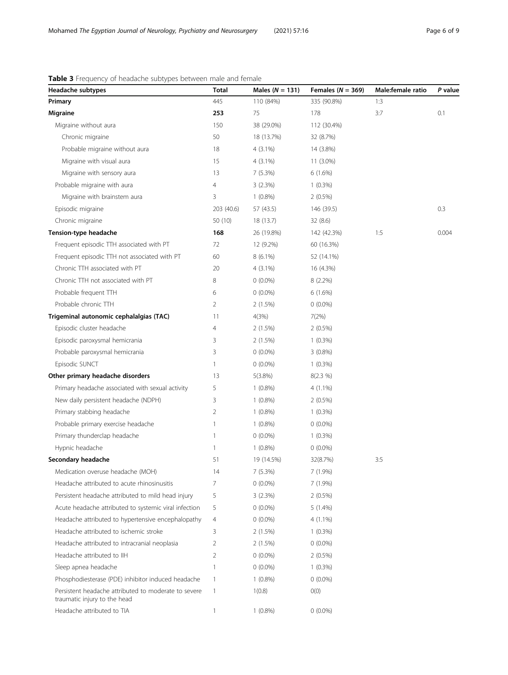# <span id="page-5-0"></span>Table 3 Frequency of headache subtypes between male and female

| Headache subtypes                                                                    | Total          | Males ( $N = 131$ ) | Females ( $N = 369$ ) | Male:female ratio | P value |
|--------------------------------------------------------------------------------------|----------------|---------------------|-----------------------|-------------------|---------|
| Primary                                                                              | 445            | 110 (84%)           | 335 (90.8%)           | 1:3               |         |
| <b>Migraine</b>                                                                      | 253            | 75                  | 178                   | 3:7               | 0.1     |
| Migraine without aura                                                                | 150            | 38 (29.0%)          | 112 (30.4%)           |                   |         |
| Chronic migraine                                                                     | 50             | 18 (13.7%)          | 32 (8.7%)             |                   |         |
| Probable migraine without aura                                                       | 18             | $4(3.1\%)$          | 14 (3.8%)             |                   |         |
| Migraine with visual aura                                                            | 15             | $4(3.1\%)$          | 11 (3.0%)             |                   |         |
| Migraine with sensory aura                                                           | 13             | 7(5.3%)             | 6(1.6%)               |                   |         |
| Probable migraine with aura                                                          | 4              | 3(2.3%)             | $1(0.3\%)$            |                   |         |
| Migraine with brainstem aura                                                         | 3              | $1(0.8\%)$          | $2(0.5\%)$            |                   |         |
| Episodic migraine                                                                    | 203 (40.6)     | 57 (43.5)           | 146 (39.5)            |                   | 0.3     |
| Chronic migraine                                                                     | 50 (10)        | 18 (13.7)           | 32(8.6)               |                   |         |
| Tension-type headache                                                                | 168            | 26 (19.8%)          | 142 (42.3%)           | 1:5               | 0.004   |
| Frequent episodic TTH associated with PT                                             | 72             | 12 (9.2%)           | 60 (16.3%)            |                   |         |
| Frequent episodic TTH not associated with PT                                         | 60             | 8 (6.1%)            | 52 (14.1%)            |                   |         |
| Chronic TTH associated with PT                                                       | 20             | $4(3.1\%)$          | 16 (4.3%)             |                   |         |
| Chronic TTH not associated with PT                                                   | 8              | $0(0.0\%)$          | $8(2.2\%)$            |                   |         |
| Probable frequent TTH                                                                | 6              | $0(0.0\%)$          | 6(1.6%)               |                   |         |
| Probable chronic TTH                                                                 | 2              | 2(1.5%)             | $0(0.0\%)$            |                   |         |
| Trigeminal autonomic cephalalgias (TAC)                                              | 11             | 4(3%)               | 7(2%)                 |                   |         |
| Episodic cluster headache                                                            | 4              | 2(1.5%)             | $2(0.5\%)$            |                   |         |
| Episodic paroxysmal hemicrania                                                       | 3              | 2(1.5%)             | $1(0.3\%)$            |                   |         |
| Probable paroxysmal hemicrania                                                       | 3              | $0(0.0\%)$          | $3(0.8\%)$            |                   |         |
| Episodic SUNCT                                                                       | 1              | $0(0.0\%)$          | $1(0.3\%)$            |                   |         |
| Other primary headache disorders                                                     | 13             | 5(3.8%)             | 8(2.3 %)              |                   |         |
| Primary headache associated with sexual activity                                     | 5              | $1(0.8\%)$          | 4 (1.1%)              |                   |         |
| New daily persistent headache (NDPH)                                                 | 3              | $1(0.8\%)$          | $2(0.5\%)$            |                   |         |
| Primary stabbing headache                                                            | 2              | $1(0.8\%)$          | $1(0.3\%)$            |                   |         |
| Probable primary exercise headache                                                   | 1              | $1(0.8\%)$          | $0(0.0\%)$            |                   |         |
| Primary thunderclap headache                                                         | 1              | $0(0.0\%)$          | $1(0.3\%)$            |                   |         |
| Hypnic headache                                                                      | 1              | $1(0.8\%)$          | $0(0.0\%)$            |                   |         |
| Secondary headache                                                                   | 51             | 19 (14.5%)          | 32(8.7%)              | 3:5               |         |
| Medication overuse headache (MOH)                                                    | 14             | 7(5.3%)             | 7 (1.9%)              |                   |         |
| Headache attributed to acute rhinosinusitis                                          | 7              | $0(0.0\%)$          | 7(1.9%)               |                   |         |
| Persistent headache attributed to mild head injury                                   | 5              | 3(2.3%)             | 2(0.5%)               |                   |         |
| Acute headache attributed to systemic viral infection                                | 5              | $0(0.0\%)$          | 5(1.4%)               |                   |         |
| Headache attributed to hypertensive encephalopathy                                   | 4              | $0(0.0\%)$          | 4 (1.1%)              |                   |         |
| Headache attributed to ischemic stroke                                               | 3              | 2(1.5%)             | $1(0.3\%)$            |                   |         |
| Headache attributed to intracranial neoplasia                                        | $\overline{2}$ | 2(1.5%)             | $0(0.0\%)$            |                   |         |
| Headache attributed to IIH                                                           | 2              | $0(0.0\%)$          | 2(0.5%)               |                   |         |
| Sleep apnea headache                                                                 | 1              | $0(0.0\%)$          | $1(0.3\%)$            |                   |         |
| Phosphodiesterase (PDE) inhibitor induced headache                                   | 1              | $1(0.8\%)$          | $0(0.0\%)$            |                   |         |
| Persistent headache attributed to moderate to severe<br>traumatic injury to the head | 1              | 1(0.8)              | O(0)                  |                   |         |
| Headache attributed to TIA                                                           |                | $1(0.8\%)$          | $0(0.0\%)$            |                   |         |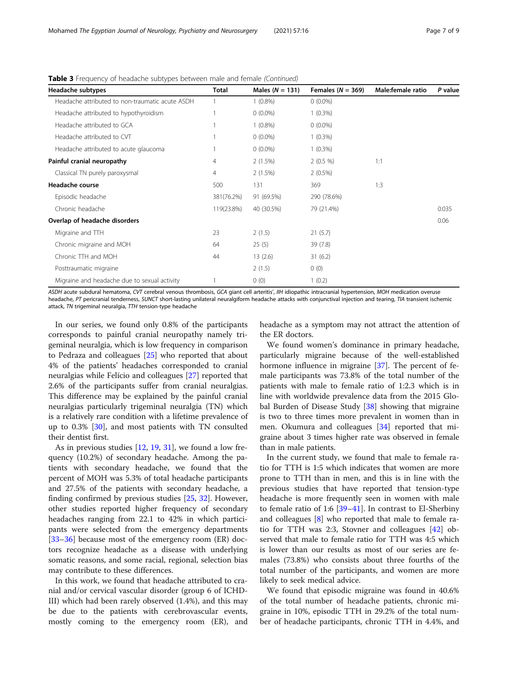| Headache subtypes                               | <b>Total</b>   | Males $(N = 131)$ | Females ( $N = 369$ ) | Male:female ratio | P value |
|-------------------------------------------------|----------------|-------------------|-----------------------|-------------------|---------|
| Headache attributed to non-traumatic acute ASDH |                | $1(0.8\%)$        | $0(0.0\%)$            |                   |         |
| Headache attributed to hypothyroidism           |                | $0(0.0\%)$        | $1(0.3\%)$            |                   |         |
| Headache attributed to GCA                      |                | $1(0.8\%)$        | $0(0.0\%)$            |                   |         |
| Headache attributed to CVT                      |                | $0(0.0\%)$        | $1(0.3\%)$            |                   |         |
| Headache attributed to acute glaucoma           |                | $0(0.0\%)$        | $1(0.3\%)$            |                   |         |
| Painful cranial neuropathy                      | $\overline{4}$ | $2(1.5\%)$        | $2(0.5\%)$            | 1:1               |         |
| Classical TN purely paroxysmal                  | 4              | 2(1.5%)           | $2(0.5\%)$            |                   |         |
| Headache course                                 | 500            | 131               | 369                   | 1:3               |         |
| Episodic headache                               | 381(76.2%)     | 91 (69.5%)        | 290 (78.6%)           |                   |         |
| Chronic headache                                | 119(23.8%)     | 40 (30.5%)        | 79 (21.4%)            |                   | 0.035   |
| Overlap of headache disorders                   |                |                   |                       |                   | 0.06    |
| Migraine and TTH                                | 23             | 2(1.5)            | 21(5.7)               |                   |         |
| Chronic migraine and MOH                        | 64             | 25(5)             | 39(7.8)               |                   |         |
| Chronic TTH and MOH                             | 44             | 13(2.6)           | 31(6.2)               |                   |         |
| Posttraumatic migraine                          |                | 2(1.5)            | 0(0)                  |                   |         |
| Migraine and headache due to sexual activity    |                | 0(0)              | 1(0.2)                |                   |         |

Table 3 Frequency of headache subtypes between male and female (Continued)

ASDH acute subdural hematoma, CVT cerebral venous thrombosis, GCA giant cell arteritis', IIH idiopathic intracranial hypertension, MOH medication overuse headache, PT pericranial tenderness, SUNCT short-lasting unilateral neuralgiform headache attacks with conjunctival injection and tearing, TIA transient ischemic attack, TN trigeminal neuralgia, TTH tension-type headache

In our series, we found only 0.8% of the participants corresponds to painful cranial neuropathy namely trigeminal neuralgia, which is low frequency in comparison to Pedraza and colleagues [\[25](#page-8-0)] who reported that about 4% of the patients' headaches corresponded to cranial neuralgias while Felício and colleagues [[27\]](#page-8-0) reported that 2.6% of the participants suffer from cranial neuralgias. This difference may be explained by the painful cranial neuralgias particularly trigeminal neuralgia (TN) which is a relatively rare condition with a lifetime prevalence of up to 0.3% [[30](#page-8-0)], and most patients with TN consulted their dentist first.

As in previous studies [[12](#page-7-0), [19](#page-8-0), [31](#page-8-0)], we found a low frequency (10.2%) of secondary headache. Among the patients with secondary headache, we found that the percent of MOH was 5.3% of total headache participants and 27.5% of the patients with secondary headache, a finding confirmed by previous studies [\[25](#page-8-0), [32](#page-8-0)]. However, other studies reported higher frequency of secondary headaches ranging from 22.1 to 42% in which participants were selected from the emergency departments [[33](#page-8-0)–[36](#page-8-0)] because most of the emergency room (ER) doctors recognize headache as a disease with underlying somatic reasons, and some racial, regional, selection bias may contribute to these differences.

In this work, we found that headache attributed to cranial and/or cervical vascular disorder (group 6 of ICHD-III) which had been rarely observed (1.4%), and this may be due to the patients with cerebrovascular events, mostly coming to the emergency room (ER), and headache as a symptom may not attract the attention of the ER doctors.

We found women's dominance in primary headache, particularly migraine because of the well-established hormone influence in migraine [[37\]](#page-8-0). The percent of female participants was 73.8% of the total number of the patients with male to female ratio of 1:2.3 which is in line with worldwide prevalence data from the 2015 Glo-bal Burden of Disease Study [\[38](#page-8-0)] showing that migraine is two to three times more prevalent in women than in men. Okumura and colleagues [[34\]](#page-8-0) reported that migraine about 3 times higher rate was observed in female than in male patients.

In the current study, we found that male to female ratio for TTH is 1:5 which indicates that women are more prone to TTH than in men, and this is in line with the previous studies that have reported that tension-type headache is more frequently seen in women with male to female ratio of 1:6 [\[39](#page-8-0)–[41](#page-8-0)]. In contrast to El-Sherbiny and colleagues [[8](#page-7-0)] who reported that male to female ratio for TTH was 2:3, Stovner and colleagues [[42\]](#page-8-0) observed that male to female ratio for TTH was 4:5 which is lower than our results as most of our series are females (73.8%) who consists about three fourths of the total number of the participants, and women are more likely to seek medical advice.

We found that episodic migraine was found in 40.6% of the total number of headache patients, chronic migraine in 10%, episodic TTH in 29.2% of the total number of headache participants, chronic TTH in 4.4%, and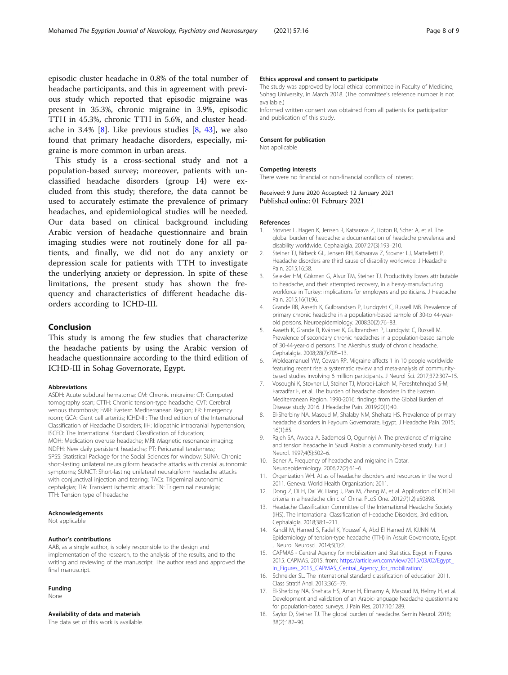<span id="page-7-0"></span>episodic cluster headache in 0.8% of the total number of headache participants, and this in agreement with previous study which reported that episodic migraine was present in 35.3%, chronic migraine in 3.9%, episodic TTH in 45.3%, chronic TTH in 5.6%, and cluster headache in 3.4% [8]. Like previous studies  $[8, 43]$  $[8, 43]$ , we also found that primary headache disorders, especially, migraine is more common in urban areas.

This study is a cross-sectional study and not a population-based survey; moreover, patients with unclassified headache disorders (group 14) were excluded from this study; therefore, the data cannot be used to accurately estimate the prevalence of primary headaches, and epidemiological studies will be needed. Our data based on clinical background including Arabic version of headache questionnaire and brain imaging studies were not routinely done for all patients, and finally, we did not do any anxiety or depression scale for patients with TTH to investigate the underlying anxiety or depression. In spite of these limitations, the present study has shown the frequency and characteristics of different headache disorders according to ICHD-III.

# Conclusion

This study is among the few studies that characterize the headache patients by using the Arabic version of headache questionnaire according to the third edition of ICHD-III in Sohag Governorate, Egypt.

#### Abbreviations

ASDH: Acute subdural hematoma; CM: Chronic migraine; CT: Computed tomography scan; CTTH: Chronic tension-type headache; CVT: Cerebral venous thrombosis; EMR: Eastern Mediterranean Region; ER: Emergency room; GCA: Giant cell arteritis; ICHD-III: The third edition of the International Classification of Headache Disorders; IIH: Idiopathic intracranial hypertension; ISCED: The International Standard Classification of Education; MOH: Medication overuse headache; MRI: Magnetic resonance imaging; NDPH: New daily persistent headache; PT: Pericranial tenderness; SPSS: Statistical Package for the Social Sciences for window; SUNA: Chronic short-lasting unilateral neuralgiform headache attacks with cranial autonomic symptoms; SUNCT: Short-lasting unilateral neuralgiform headache attacks with conjunctival injection and tearing; TACs: Trigeminal autonomic cephalgias; TIA: Transient ischemic attack; TN: Trigeminal neuralgia; TTH: Tension type of headache

#### Acknowledgements

Not applicable

#### Author's contributions

AAB, as a single author, is solely responsible to the design and implementation of the research, to the analysis of the results, and to the writing and reviewing of the manuscript. The author read and approved the final manuscript.

#### Funding

None

# Availability of data and materials

The data set of this work is available.

#### Ethics approval and consent to participate

The study was approved by local ethical committee in Faculty of Medicine, Sohag University, in March 2018. (The committee's reference number is not available.)

Informed written consent was obtained from all patients for participation and publication of this study.

#### Consent for publication

Not applicable

#### Competing interests

There were no financial or non-financial conflicts of interest.

Received: 9 June 2020 Accepted: 12 January 2021 Published online: 01 February 2021

#### References

- 1. Stovner L, Hagen K, Jensen R, Katsarava Z, Lipton R, Scher A, et al. The global burden of headache: a documentation of headache prevalence and disability worldwide. Cephalalgia. 2007;27(3):193–210.
- 2. Steiner TJ, Birbeck GL, Jensen RH, Katsarava Z, Stovner LJ, Martelletti P. Headache disorders are third cause of disability worldwide. J Headache Pain. 2015;16:58.
- 3. Selekler HM, Gökmen G, Alvur TM, Steiner TJ. Productivity losses attributable to headache, and their attempted recovery, in a heavy-manufacturing workforce in Turkey: implications for employers and politicians. J Headache Pain. 2015;16(1):96.
- 4. Grande RB, Aaseth K, Gulbrandsen P, Lundqvist C, Russell MB. Prevalence of primary chronic headache in a population-based sample of 30-to 44-yearold persons. Neuroepidemiology. 2008;30(2):76–83.
- 5. Aaseth K, Grande R, Kvárner K, Gulbrandsen P, Lundqvist C, Russell M. Prevalence of secondary chronic headaches in a population-based sample of 30-44-year-old persons. The Akershus study of chronic headache. Cephalalgia. 2008;28(7):705–13.
- 6. Woldeamanuel YW, Cowan RP. Migraine affects 1 in 10 people worldwide featuring recent rise: a systematic review and meta-analysis of communitybased studies involving 6 million participants. J Neurol Sci. 2017;372:307–15.
- 7. Vosoughi K, Stovner LJ, Steiner TJ, Moradi-Lakeh M, Fereshtehnejad S-M, Farzadfar F, et al. The burden of headache disorders in the Eastern Mediterranean Region, 1990-2016: findings from the Global Burden of Disease study 2016. J Headache Pain. 2019;20(1):40.
- 8. El-Sherbiny NA, Masoud M, Shalaby NM, Shehata HS. Prevalence of primary headache disorders in Fayoum Governorate, Egypt. J Headache Pain. 2015; 16(1):85.
- 9. Rajeh SA, Awada A, Bademosi O, Ogunniyi A. The prevalence of migraine and tension headache in Saudi Arabia: a community-based study. Eur J Neurol. 1997;4(5):502–6.
- 10. Bener A. Frequency of headache and migraine in Qatar. Neuroepidemiology. 2006;27(2):61–6.
- 11. Organization WH. Atlas of headache disorders and resources in the world 2011. Geneva: World Health Organisation; 2011.
- 12. Dong Z, Di H, Dai W, Liang J, Pan M, Zhang M, et al. Application of ICHD-II criteria in a headache clinic of China. PLoS One. 2012;7(12):e50898.
- 13. Headache Classification Committee of the International Headache Society (IHS). The International Classification of Headache Disorders, 3rd edition. Cephalalgia. 2018;38:1–211.
- 14. Kandil M, Hamed S, Fadel K, Youssef A, Abd El Hamed M, KJJNN M. Epidemiology of tension-type headache (TTH) in Assuit Governorate, Egypt. J Neurol Neurosci. 2014;5(1):2.
- 15. CAPMAS Central Agency for mobilization and Statistics. Egypt in Figures 2015. CAPMAS. 2015. from: [https://article.wn.com/view/2015/03/02/Egypt\\_](https://article.wn.com/view/2015/03/02/Egypt_in_Figures_2015_CAPMAS_Central_Agency_for_mobilization/.) [in\\_Figures\\_2015\\_CAPMAS\\_Central\\_Agency\\_for\\_mobilization/.](https://article.wn.com/view/2015/03/02/Egypt_in_Figures_2015_CAPMAS_Central_Agency_for_mobilization/.)
- 16. Schneider SL. The international standard classification of education 2011. Class Stratif Anal. 2013:365–79.
- 17. El-Sherbiny NA, Shehata HS, Amer H, Elmazny A, Masoud M, Helmy H, et al. Development and validation of an Arabic-language headache questionnaire for population-based surveys. J Pain Res. 2017;10:1289.
- 18. Saylor D, Steiner TJ. The global burden of headache. Semin Neurol. 2018; 38(2):182–90.